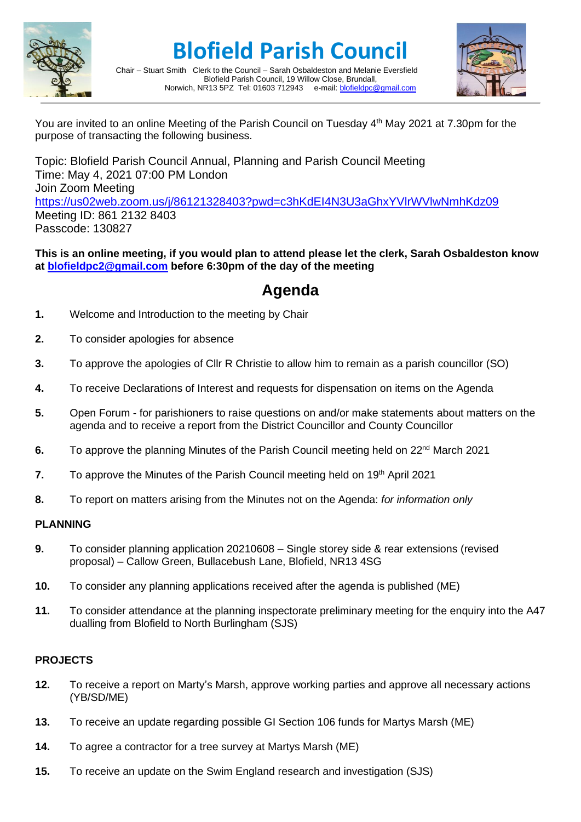

# **Blofield Parish Council**





You are invited to an online Meeting of the Parish Council on Tuesday 4<sup>th</sup> May 2021 at 7.30pm for the purpose of transacting the following business.

Topic: Blofield Parish Council Annual, Planning and Parish Council Meeting Time: May 4, 2021 07:00 PM London Join Zoom Meeting <https://us02web.zoom.us/j/86121328403?pwd=c3hKdEI4N3U3aGhxYVlrWVlwNmhKdz09> Meeting ID: 861 2132 8403 Passcode: 130827

**This is an online meeting, if you would plan to attend please let the clerk, Sarah Osbaldeston know at [blofieldpc2@gmail.com](mailto:blofieldpc2@gmail.com) before 6:30pm of the day of the meeting**

### **Agenda**

- **1.** Welcome and Introduction to the meeting by Chair
- **2.** To consider apologies for absence
- **3.** To approve the apologies of Cllr R Christie to allow him to remain as a parish councillor (SO)
- **4.** To receive Declarations of Interest and requests for dispensation on items on the Agenda
- **5.** Open Forum for parishioners to raise questions on and/or make statements about matters on the agenda and to receive a report from the District Councillor and County Councillor
- **6.** To approve the planning Minutes of the Parish Council meeting held on 22<sup>nd</sup> March 2021
- **7.** To approve the Minutes of the Parish Council meeting held on 19<sup>th</sup> April 2021
- **8.** To report on matters arising from the Minutes not on the Agenda: *for information only*

### **PLANNING**

- **9.** To consider planning application 20210608 Single storey side & rear extensions (revised proposal) – Callow Green, Bullacebush Lane, Blofield, NR13 4SG
- **10.** To consider any planning applications received after the agenda is published (ME)
- **11.** To consider attendance at the planning inspectorate preliminary meeting for the enquiry into the A47 dualling from Blofield to North Burlingham (SJS)

### **PROJECTS**

- **12.** To receive a report on Marty's Marsh, approve working parties and approve all necessary actions (YB/SD/ME)
- **13.** To receive an update regarding possible GI Section 106 funds for Martys Marsh (ME)
- **14.** To agree a contractor for a tree survey at Martys Marsh (ME)
- **15.** To receive an update on the Swim England research and investigation (SJS)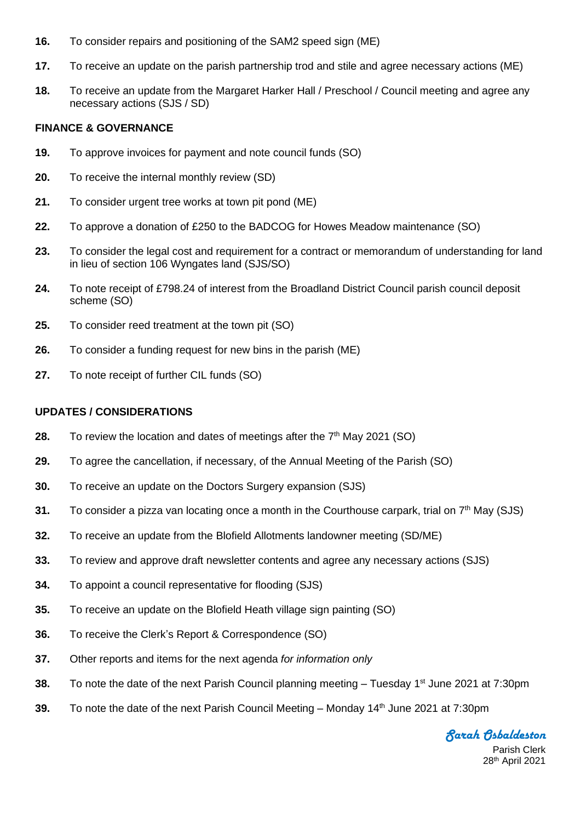- **16.** To consider repairs and positioning of the SAM2 speed sign (ME)
- **17.** To receive an update on the parish partnership trod and stile and agree necessary actions (ME)
- **18.** To receive an update from the Margaret Harker Hall / Preschool / Council meeting and agree any necessary actions (SJS / SD)

#### **FINANCE & GOVERNANCE**

- **19.** To approve invoices for payment and note council funds (SO)
- **20.** To receive the internal monthly review (SD)
- **21.** To consider urgent tree works at town pit pond (ME)
- **22.** To approve a donation of £250 to the BADCOG for Howes Meadow maintenance (SO)
- **23.** To consider the legal cost and requirement for a contract or memorandum of understanding for land in lieu of section 106 Wyngates land (SJS/SO)
- **24.** To note receipt of £798.24 of interest from the Broadland District Council parish council deposit scheme (SO)
- **25.** To consider reed treatment at the town pit (SO)
- **26.** To consider a funding request for new bins in the parish (ME)
- **27.** To note receipt of further CIL funds (SO)

#### **UPDATES / CONSIDERATIONS**

- **28.** To review the location and dates of meetings after the 7<sup>th</sup> May 2021 (SO)
- **29.** To agree the cancellation, if necessary, of the Annual Meeting of the Parish (SO)
- **30.** To receive an update on the Doctors Surgery expansion (SJS)
- **31.** To consider a pizza van locating once a month in the Courthouse carpark, trial on 7<sup>th</sup> May (SJS)
- **32.** To receive an update from the Blofield Allotments landowner meeting (SD/ME)
- **33.** To review and approve draft newsletter contents and agree any necessary actions (SJS)
- **34.** To appoint a council representative for flooding (SJS)
- **35.** To receive an update on the Blofield Heath village sign painting (SO)
- **36.** To receive the Clerk's Report & Correspondence (SO)
- **37.** Other reports and items for the next agenda *for information only*
- **38.** To note the date of the next Parish Council planning meeting Tuesday 1<sup>st</sup> June 2021 at 7:30pm
- **39.** To note the date of the next Parish Council Meeting Monday 14<sup>th</sup> June 2021 at 7:30pm

*Sarah Osbaldeston*

Parish Clerk 28 th April 2021